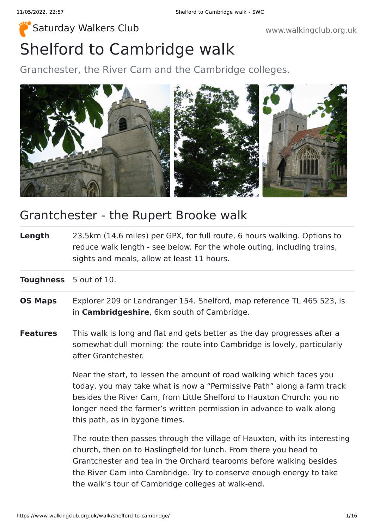# Shelford to Cambridge walk [Saturday Walkers Club](https://www.walkingclub.org.uk/) **Walkers Club www.walkingclub.org.uk**

Granchester, the River Cam and the Cambridge colleges.



## Grantchester - the Rupert Brooke walk

**Length** 23.5km (14.6 miles) per GPX, for full route, 6 hours walking. Options to reduce walk length - see below. For the whole outing, including trains, sights and meals, allow at least 11 hours.

**Toughness** 5 out of 10.

- **OS Maps** Explorer 209 or Landranger 154. Shelford, map reference TL 465 523, is in **Cambridgeshire**, 6km south of Cambridge.
- **Features** This walk is long and flat and gets better as the day progresses after a somewhat dull morning: the route into Cambridge is lovely, particularly after Grantchester.

Near the start, to lessen the amount of road walking which faces you today, you may take what is now a "Permissive Path" along a farm track besides the River Cam, from Little Shelford to Hauxton Church: you no longer need the farmer's written permission in advance to walk along this path, as in bygone times.

The route then passes through the village of Hauxton, with its interesting church, then on to Haslingfield for lunch. From there you head to Grantchester and tea in the Orchard tearooms before walking besides the River Cam into Cambridge. Try to conserve enough energy to take the walk's tour of Cambridge colleges at walk-end.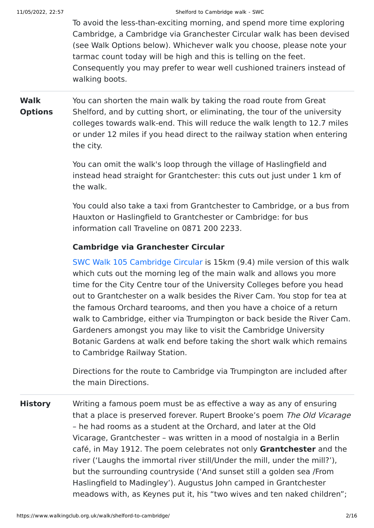To avoid the less-than-exciting morning, and spend more time exploring Cambridge, a Cambridge via Granchester Circular walk has been devised (see Walk Options below). Whichever walk you choose, please note your tarmac count today will be high and this is telling on the feet. Consequently you may prefer to wear well cushioned trainers instead of walking boots.

**Walk Options** You can shorten the main walk by taking the road route from Great Shelford, and by cutting short, or eliminating, the tour of the university colleges towards walk-end. This will reduce the walk length to 12.7 miles or under 12 miles if you head direct to the railway station when entering the city.

> You can omit the walk's loop through the village of Haslingfield and instead head straight for Grantchester: this cuts out just under 1 km of the walk.

You could also take a taxi from Grantchester to Cambridge, or a bus from Hauxton or Haslingfield to Grantchester or Cambridge: for bus information call Traveline on 0871 200 2233.

### **Cambridge via Granchester Circular**

[SWC Walk 105 Cambridge Circular](https://www.walkingclub.org.uk/book_3/walk_105/) is 15km (9.4) mile version of this walk which cuts out the morning leg of the main walk and allows you more time for the City Centre tour of the University Colleges before you head out to Grantchester on a walk besides the River Cam. You stop for tea at the famous Orchard tearooms, and then you have a choice of a return walk to Cambridge, either via Trumpington or back beside the River Cam. Gardeners amongst you may like to visit the Cambridge University Botanic Gardens at walk end before taking the short walk which remains to Cambridge Railway Station.

Directions for the route to Cambridge via Trumpington are included after the main Directions.

**History** Writing a famous poem must be as effective a way as any of ensuring that a place is preserved forever. Rupert Brooke's poem The Old Vicarage – he had rooms as a student at the Orchard, and later at the Old Vicarage, Grantchester – was written in a mood of nostalgia in a Berlin café, in May 1912. The poem celebrates not only **Grantchester** and the river ('Laughs the immortal river still/Under the mill, under the mill?'), but the surrounding countryside ('And sunset still a golden sea /From Haslingfield to Madingley'). Augustus John camped in Grantchester meadows with, as Keynes put it, his "two wives and ten naked children";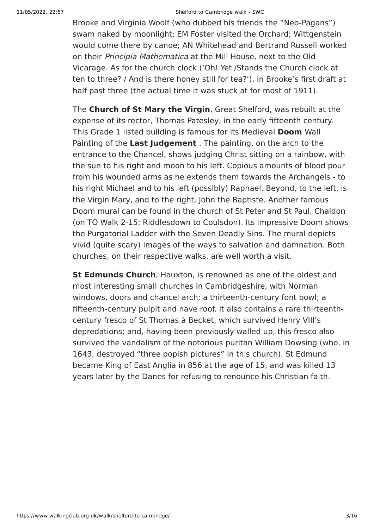#### 11/05/2022, 22:57 Shelford to Cambridge walk - SWC

Brooke and Virginia Woolf (who dubbed his friends the "Neo-Pagans") swam naked by moonlight; EM Foster visited the Orchard; Wittgenstein would come there by canoe; AN Whitehead and Bertrand Russell worked on their Principia Mathematica at the Mill House, next to the Old Vicarage. As for the church clock ('Oh! Yet /Stands the Church clock at ten to three? / And is there honey still for tea?'), in Brooke's first draft at half past three (the actual time it was stuck at for most of 1911).

The **Church of St Mary the Virgin**, Great Shelford, was rebuilt at the expense of its rector, Thomas Patesley, in the early fifteenth century. This Grade 1 listed building is famous for its Medieval **Doom** Wall Painting of the **Last Judgement** . The painting, on the arch to the entrance to the Chancel, shows judging Christ sitting on a rainbow, with the sun to his right and moon to his left. Copious amounts of blood pour from his wounded arms as he extends them towards the Archangels - to his right Michael and to his left (possibly) Raphael. Beyond, to the left, is the Virgin Mary, and to the right, John the Baptiste. Another famous Doom mural can be found in the church of St Peter and St Paul, Chaldon (on TO Walk 2-15: Riddlesdown to Coulsdon). Its impressive Doom shows the Purgatorial Ladder with the Seven Deadly Sins. The mural depicts vivid (quite scary) images of the ways to salvation and damnation. Both churches, on their respective walks, are well worth a visit.

**St Edmunds Church**, Hauxton, is renowned as one of the oldest and most interesting small churches in Cambridgeshire, with Norman windows, doors and chancel arch; a thirteenth-century font bowl; a fifteenth-century pulpit and nave roof. It also contains a rare thirteenthcentury fresco of St Thomas à Becket, which survived Henry VIII's depredations; and, having been previously walled up, this fresco also survived the vandalism of the notorious puritan William Dowsing (who, in 1643, destroyed "three popish pictures" in this church). St Edmund became King of East Anglia in 856 at the age of 15, and was killed 13 years later by the Danes for refusing to renounce his Christian faith.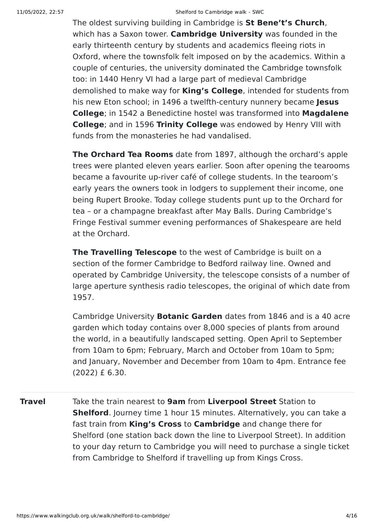The oldest surviving building in Cambridge is **St Bene't's Church**, which has a Saxon tower. **Cambridge University** was founded in the early thirteenth century by students and academics fleeing riots in Oxford, where the townsfolk felt imposed on by the academics. Within a couple of centuries, the university dominated the Cambridge townsfolk too: in 1440 Henry VI had a large part of medieval Cambridge demolished to make way for **King's College**, intended for students from his new Eton school; in 1496 a twelfth-century nunnery became **Jesus College**; in 1542 a Benedictine hostel was transformed into **Magdalene College**; and in 1596 **Trinity College** was endowed by Henry VIII with funds from the monasteries he had vandalised.

**The Orchard Tea Rooms** date from 1897, although the orchard's apple trees were planted eleven years earlier. Soon after opening the tearooms became a favourite up-river café of college students. In the tearoom's early years the owners took in lodgers to supplement their income, one being Rupert Brooke. Today college students punt up to the Orchard for tea – or a champagne breakfast after May Balls. During Cambridge's Fringe Festival summer evening performances of Shakespeare are held at the Orchard.

**The Travelling Telescope** to the west of Cambridge is built on a section of the former Cambridge to Bedford railway line. Owned and operated by Cambridge University, the telescope consists of a number of large aperture synthesis radio telescopes, the original of which date from 1957.

Cambridge University **Botanic Garden** dates from 1846 and is a 40 acre garden which today contains over 8,000 species of plants from around the world, in a beautifully landscaped setting. Open April to September from 10am to 6pm; February, March and October from 10am to 5pm; and January, November and December from 10am to 4pm. Entrance fee (2022) £ 6.30.

**Travel** Take the train nearest to **9am** from **Liverpool Street** Station to **Shelford**. Journey time 1 hour 15 minutes. Alternatively, you can take a fast train from **King's Cross** to **Cambridge** and change there for Shelford (one station back down the line to Liverpool Street). In addition to your day return to Cambridge you will need to purchase a single ticket from Cambridge to Shelford if travelling up from Kings Cross.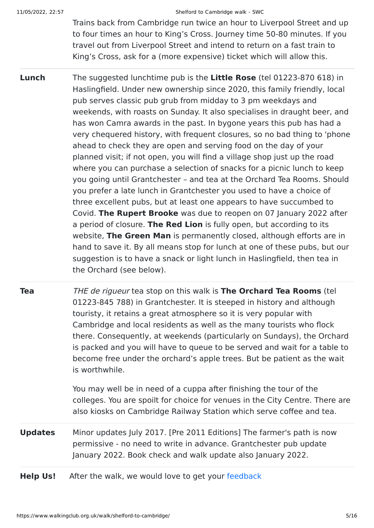#### 11/05/2022, 22:57 Shelford to Cambridge walk - SWC

Trains back from Cambridge run twice an hour to Liverpool Street and up to four times an hour to King's Cross. Journey time 50-80 minutes. If you travel out from Liverpool Street and intend to return on a fast train to King's Cross, ask for a (more expensive) ticket which will allow this.

**Lunch** The suggested lunchtime pub is the **Little Rose** (tel 01223-870 618) in Haslingfield. Under new ownership since 2020, this family friendly, local pub serves classic pub grub from midday to 3 pm weekdays and weekends, with roasts on Sunday. It also specialises in draught beer, and has won Camra awards in the past. In bygone years this pub has had a very chequered history, with frequent closures, so no bad thing to 'phone ahead to check they are open and serving food on the day of your planned visit; if not open, you will find a village shop just up the road where you can purchase a selection of snacks for a picnic lunch to keep you going until Grantchester – and tea at the Orchard Tea Rooms. Should you prefer a late lunch in Grantchester you used to have a choice of three excellent pubs, but at least one appears to have succumbed to Covid. **The Rupert Brooke** was due to reopen on 07 January 2022 after a period of closure. **The Red Lion** is fully open, but according to its website, **The Green Man** is permanently closed, although efforts are in hand to save it. By all means stop for lunch at one of these pubs, but our suggestion is to have a snack or light lunch in Haslingfield, then tea in the Orchard (see below).

**Tea** THE de rigueur tea stop on this walk is **The Orchard Tea Rooms** (tel 01223-845 788) in Grantchester. It is steeped in history and although touristy, it retains a great atmosphere so it is very popular with Cambridge and local residents as well as the many tourists who flock there. Consequently, at weekends (particularly on Sundays), the Orchard is packed and you will have to queue to be served and wait for a table to become free under the orchard's apple trees. But be patient as the wait is worthwhile.

> You may well be in need of a cuppa after finishing the tour of the colleges. You are spoilt for choice for venues in the City Centre. There are also kiosks on Cambridge Railway Station which serve coffee and tea.

- **Updates** Minor updates July 2017. [Pre 2011 Editions] The farmer's path is now permissive - no need to write in advance. Grantchester pub update January 2022. Book check and walk update also January 2022.
- **Help Us!** After the walk, we would love to get your [feedback](https://www.walkingclub.org.uk/walk/shelford-to-cambridge/comments.html)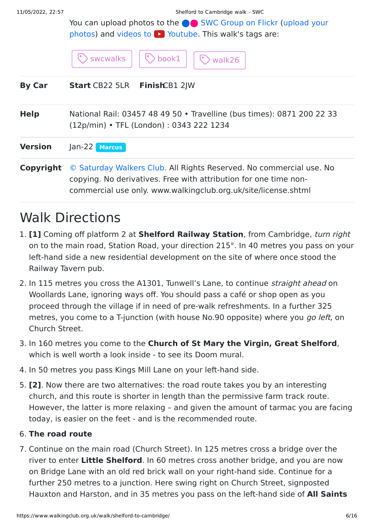11/05/2022, 22:57 Shelford to Cambridge walk - SWC

You can upload photos to the **extended** [SWC Group on Flickr](http://www.flickr.com/groups/swc) (upload your photos) and videos to  $\triangleright$  Youtube. This walk's tags are:

|               | $\circledcirc$ swcwalks $  \circledcirc$ book1 $  \circledcirc$ walk26 $  $ |  |
|---------------|-----------------------------------------------------------------------------|--|
| <b>By Car</b> | <b>Start CB22 5LR FinishCB1 2JW</b>                                         |  |

| <b>Help</b> | National Rail: 03457 48 49 50 • Travelline (bus times): 0871 200 22 33<br>$(12p/min)$ • TFL (London): 0343 222 1234                     |
|-------------|-----------------------------------------------------------------------------------------------------------------------------------------|
| Version     | Jan-22 Marcus                                                                                                                           |
| Copyright   | © Saturday Walkers Club. All Rights Reserved. No commercial use. No<br>copying. No derivatives. Free with attribution for one time non- |

commercial use only. www.walkingclub.org.uk/site/license.shtml

# Walk Directions

- 1. **[1]** Coming off platform 2 at **Shelford Railway Station**, from Cambridge, turn right on to the main road, Station Road, your direction 215°. In 40 metres you pass on your left-hand side a new residential development on the site of where once stood the Railway Tavern pub.
- 2. In 115 metres you cross the A1301, Tunwell's Lane, to continue *straight ahead* on Woollards Lane, ignoring ways off. You should pass a café or shop open as you proceed through the village if in need of pre-walk refreshments. In a further 325 metres, you come to a T-junction (with house No.90 opposite) where you go left, on Church Street.
- 3. In 160 metres you come to the **Church of St Mary the Virgin, Great Shelford**, which is well worth a look inside - to see its Doom mural.
- 4. In 50 metres you pass Kings Mill Lane on your left-hand side.
- 5. **[2]**. Now there are two alternatives: the road route takes you by an interesting church, and this route is shorter in length than the permissive farm track route. However, the latter is more relaxing – and given the amount of tarmac you are facing today, is easier on the feet - and is the recommended route.

### 6. **The road route**

7. Continue on the main road (Church Street). In 125 metres cross a bridge over the river to enter **Little Shelford**. In 60 metres cross another bridge, and you are now on Bridge Lane with an old red brick wall on your right-hand side. Continue for a further 250 metres to a junction. Here swing right on Church Street, signposted Hauxton and Harston, and in 35 metres you pass on the left-hand side of **All Saints**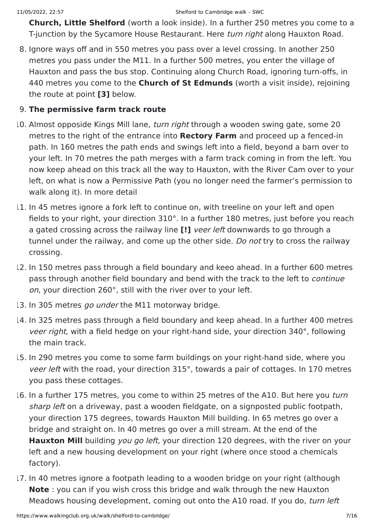**Church, Little Shelford** (worth a look inside). In a further 250 metres you come to a T-junction by the Sycamore House Restaurant. Here turn right along Hauxton Road.

8. Ignore ways off and in 550 metres you pass over a level crossing. In another 250 metres you pass under the M11. In a further 500 metres, you enter the village of Hauxton and pass the bus stop. Continuing along Church Road, ignoring turn-offs, in 440 metres you come to the **Church of St Edmunds** (worth a visit inside), rejoining the route at point **[3]** below.

### 9. **The permissive farm track route**

- 10. Almost opposide Kings Mill lane, *turn right* through a wooden swing gate, some 20 metres to the right of the entrance into **Rectory Farm** and proceed up a fenced-in path. In 160 metres the path ends and swings left into a field, beyond a barn over to your left. In 70 metres the path merges with a farm track coming in from the left. You now keep ahead on this track all the way to Hauxton, with the River Cam over to your left, on what is now a Permissive Path (you no longer need the farmer's permission to walk along it). In more detail
- 11. In 45 metres ignore a fork left to continue on, with treeline on your left and open fields to your right, your direction 310°. In a further 180 metres, just before you reach a gated crossing across the railway line **[!]** veer left downwards to go through a tunnel under the railway, and come up the other side. Do not try to cross the railway crossing.
- 12. In 150 metres pass through a field boundary and keeo ahead. In a further 600 metres pass through another field boundary and bend with the track to the left to continue on, your direction 260°, still with the river over to your left.
- 13. In 305 metres go under the M11 motorway bridge.
- 14. In 325 metres pass through a field boundary and keep ahead. In a further 400 metres veer right, with a field hedge on your right-hand side, your direction 340°, following the main track.
- 15. In 290 metres you come to some farm buildings on your right-hand side, where you veer left with the road, your direction 315°, towards a pair of cottages. In 170 metres you pass these cottages.
- 16. In a further 175 metres, you come to within 25 metres of the A10. But here you turn sharp left on a driveway, past a wooden fieldgate, on a signposted public footpath, your direction 175 degrees, towards Hauxton Mill building. In 65 metres go over a bridge and straight on. In 40 metres go over a mill stream. At the end of the **Hauxton Mill** building you go left, your direction 120 degrees, with the river on your left and a new housing development on your right (where once stood a chemicals factory).
- 17. In 40 metres ignore a footpath leading to a wooden bridge on your right (although **Note** : you can if you wish cross this bridge and walk through the new Hauxton Meadows housing development, coming out onto the A10 road. If you do, turn left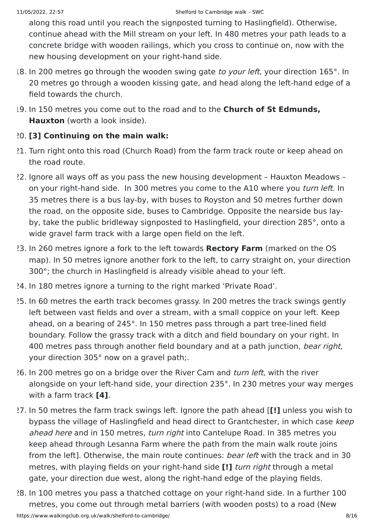along this road until you reach the signposted turning to Haslingfield). Otherwise, continue ahead with the Mill stream on your left. In 480 metres your path leads to a concrete bridge with wooden railings, which you cross to continue on, now with the new housing development on your right-hand side.

- 18. In 200 metres go through the wooden swing gate to your left, your direction 165°. In 20 metres go through a wooden kissing gate, and head along the left-hand edge of a field towards the church.
- 19. In 150 metres you come out to the road and to the **Church of St Edmunds, Hauxton** (worth a look inside).

### 20. **[3] Continuing on the main walk:**

- 21. Turn right onto this road (Church Road) from the farm track route or keep ahead on the road route.
- 22. Ignore all ways off as you pass the new housing development Hauxton Meadows on your right-hand side. In 300 metres you come to the A10 where you turn left. In 35 metres there is a bus lay-by, with buses to Royston and 50 metres further down the road, on the opposite side, buses to Cambridge. Opposite the nearside bus layby, take the public bridleway signposted to Haslingfield, your direction 285°, onto a wide gravel farm track with a large open field on the left.
- 23. In 260 metres ignore a fork to the left towards **Rectory Farm** (marked on the OS map). In 50 metres ignore another fork to the left, to carry straight on, your direction 300°; the church in Haslingfield is already visible ahead to your left.
- 24. In 180 metres ignore a turning to the right marked 'Private Road'.
- 25. In 60 metres the earth track becomes grassy. In 200 metres the track swings gently left between vast fields and over a stream, with a small coppice on your left. Keep ahead, on a bearing of 245°. In 150 metres pass through a part tree-lined field boundary. Follow the grassy track with a ditch and field boundary on your right. In 400 metres pass through another field boundary and at a path junction, bear right, your direction 305° now on a gravel path;.
- 26. In 200 metres go on a bridge over the River Cam and turn left, with the river alongside on your left-hand side, your direction 235°. In 230 metres your way merges with a farm track **[4]**.
- 27. In 50 metres the farm track swings left. Ignore the path ahead [**[!]** unless you wish to bypass the village of Haslingfield and head direct to Grantchester, in which case keep ahead here and in 150 metres, turn right into Cantelupe Road. In 385 metres you keep ahead through Lesanna Farm where the path from the main walk route joins from the left]. Otherwise, the main route continues: bear left with the track and in 30 metres, with playing fields on your right-hand side **[!]** turn right through a metal gate, your direction due west, along the right-hand edge of the playing fields.
- https://www.walkingclub.org.uk/walk/shelford-to-cambridge/ 8/16 28. In 100 metres you pass a thatched cottage on your right-hand side. In a further 100 metres, you come out through metal barriers (with wooden posts) to a road (New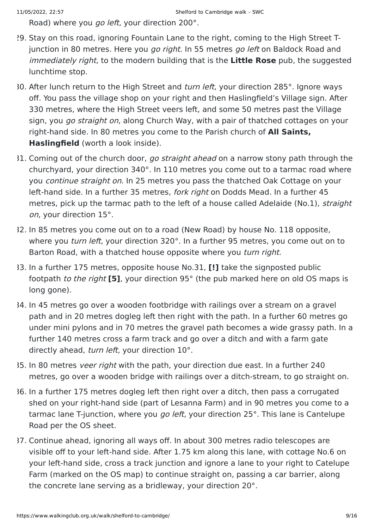Road) where you go left, your direction 200°.

- 29. Stay on this road, ignoring Fountain Lane to the right, coming to the High Street Tjunction in 80 metres. Here you go right. In 55 metres go left on Baldock Road and immediately right, to the modern building that is the **Little Rose** pub, the suggested lunchtime stop.
- 30. After lunch return to the High Street and *turn left*, your direction 285°, lgnore ways off. You pass the village shop on your right and then Haslingfield's Village sign. After 330 metres, where the High Street veers left, and some 50 metres past the Village sign, you *go straight on*, along Church Way, with a pair of thatched cottages on your right-hand side. In 80 metres you come to the Parish church of **All Saints, Haslingfield** (worth a look inside).
- 31. Coming out of the church door, go straight ahead on a narrow stony path through the churchyard, your direction 340°. In 110 metres you come out to a tarmac road where you continue straight on. In 25 metres you pass the thatched Oak Cottage on your left-hand side. In a further 35 metres, *fork right* on Dodds Mead. In a further 45 metres, pick up the tarmac path to the left of a house called Adelaide (No.1), straight on, your direction 15°.
- 32. In 85 metres you come out on to a road (New Road) by house No. 118 opposite, where you *turn left*, your direction 320°. In a further 95 metres, you come out on to Barton Road, with a thatched house opposite where you turn right.
- 33. In a further 175 metres, opposite house No.31, **[!]** take the signposted public footpath to the right **[5]**, your direction 95° (the pub marked here on old OS maps is long gone).
- 34. In 45 metres go over a wooden footbridge with railings over a stream on a gravel path and in 20 metres dogleg left then right with the path. In a further 60 metres go under mini pylons and in 70 metres the gravel path becomes a wide grassy path. In a further 140 metres cross a farm track and go over a ditch and with a farm gate directly ahead, turn left, your direction 10°.
- 35. In 80 metres veer right with the path, your direction due east. In a further 240 metres, go over a wooden bridge with railings over a ditch-stream, to go straight on.
- 36. In a further 175 metres dogleg left then right over a ditch, then pass a corrugated shed on your right-hand side (part of Lesanna Farm) and in 90 metres you come to a tarmac lane T-junction, where you *go left*, your direction 25°. This lane is Cantelupe Road per the OS sheet.
- 37. Continue ahead, ignoring all ways off. In about 300 metres radio telescopes are visible off to your left-hand side. After 1.75 km along this lane, with cottage No.6 on your left-hand side, cross a track junction and ignore a lane to your right to Catelupe Farm (marked on the OS map) to continue straight on, passing a car barrier, along the concrete lane serving as a bridleway, your direction 20°.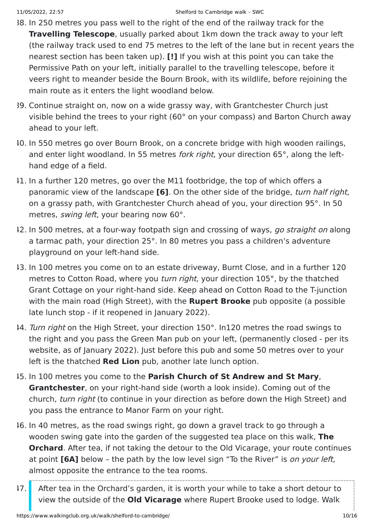- 38. In 250 metres you pass well to the right of the end of the railway track for the **Travelling Telescope**, usually parked about 1km down the track away to your left (the railway track used to end 75 metres to the left of the lane but in recent years the nearest section has been taken up). **[!]** If you wish at this point you can take the Permissive Path on your left, initially parallel to the travelling telescope, before it veers right to meander beside the Bourn Brook, with its wildlife, before rejoining the main route as it enters the light woodland below.
- 39. Continue straight on, now on a wide grassy way, with Grantchester Church just visible behind the trees to your right (60° on your compass) and Barton Church away ahead to your left.
- 40. In 550 metres go over Bourn Brook, on a concrete bridge with high wooden railings, and enter light woodland. In 55 metres *fork right*, your direction 65°, along the lefthand edge of a field.
- 41. In a further 120 metres, go over the M11 footbridge, the top of which offers a panoramic view of the landscape **[6]**. On the other side of the bridge, turn half right, on a grassy path, with Grantchester Church ahead of you, your direction 95°. In 50 metres, *swing left*, your bearing now 60°.
- 12. In 500 metres, at a four-way footpath sign and crossing of ways, go straight on along a tarmac path, your direction 25°. In 80 metres you pass a children's adventure playground on your left-hand side.
- 43. In 100 metres you come on to an estate driveway, Burnt Close, and in a further 120 metres to Cotton Road, where you turn right, your direction 105°, by the thatched Grant Cottage on your right-hand side. Keep ahead on Cotton Road to the T-junction with the main road (High Street), with the **Rupert Brooke** pub opposite (a possible late lunch stop - if it reopened in January 2022).
- 14. Turn right on the High Street, your direction 150°. In120 metres the road swings to the right and you pass the Green Man pub on your left, (permanently closed - per its website, as of January 2022). Just before this pub and some 50 metres over to your left is the thatched **Red Lion** pub, another late lunch option.
- 45. In 100 metres you come to the **Parish Church of St Andrew and St Mary**, **Grantchester**, on your right-hand side (worth a look inside). Coming out of the church, turn right (to continue in your direction as before down the High Street) and you pass the entrance to Manor Farm on your right.
- 46. In 40 metres, as the road swings right, go down a gravel track to go through a wooden swing gate into the garden of the suggested tea place on this walk, **The Orchard**. After tea, if not taking the detour to the Old Vicarage, your route continues at point **[6A]** below – the path by the low level sign "To the River" is on your left, almost opposite the entrance to the tea rooms.
- 47. After tea in the Orchard's garden, it is worth your while to take a short detour to view the outside of the **Old Vicarage** where Rupert Brooke used to lodge. Walk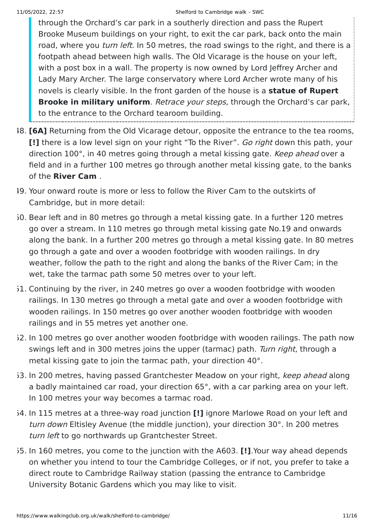through the Orchard's car park in a southerly direction and pass the Rupert Brooke Museum buildings on your right, to exit the car park, back onto the main road, where you *turn left*. In 50 metres, the road swings to the right, and there is a footpath ahead between high walls. The Old Vicarage is the house on your left, with a post box in a wall. The property is now owned by Lord Jeffrey Archer and Lady Mary Archer. The large conservatory where Lord Archer wrote many of his novels is clearly visible. In the front garden of the house is a **statue of Rupert Brooke in military uniform**. Retrace your steps, through the Orchard's car park, to the entrance to the Orchard tearoom building.

- 48. **[6A]** Returning from the Old Vicarage detour, opposite the entrance to the tea rooms, **[!]** there is a low level sign on your right "To the River". Go right down this path, your direction 100°, in 40 metres going through a metal kissing gate. Keep ahead over a field and in a further 100 metres go through another metal kissing gate, to the banks of the **River Cam** .
- 49. Your onward route is more or less to follow the River Cam to the outskirts of Cambridge, but in more detail:
- 50. Bear left and in 80 metres go through a metal kissing gate. In a further 120 metres go over a stream. In 110 metres go through metal kissing gate No.19 and onwards along the bank. In a further 200 metres go through a metal kissing gate. In 80 metres go through a gate and over a wooden footbridge with wooden railings. In dry weather, follow the path to the right and along the banks of the River Cam; in the wet, take the tarmac path some 50 metres over to your left.
- 51. Continuing by the river, in 240 metres go over a wooden footbridge with wooden railings. In 130 metres go through a metal gate and over a wooden footbridge with wooden railings. In 150 metres go over another wooden footbridge with wooden railings and in 55 metres yet another one.
- 52. In 100 metres go over another wooden footbridge with wooden railings. The path now swings left and in 300 metres joins the upper (tarmac) path. Turn right, through a metal kissing gate to join the tarmac path, your direction 40°.
- 53. In 200 metres, having passed Grantchester Meadow on your right, keep ahead along a badly maintained car road, your direction 65°, with a car parking area on your left. In 100 metres your way becomes a tarmac road.
- 54. In 115 metres at a three-way road junction **[!]** ignore Marlowe Road on your left and turn down Eltisley Avenue (the middle junction), your direction 30°. In 200 metres turn left to go northwards up Grantchester Street.
- 55. In 160 metres, you come to the junction with the A603. **[!]**.Your way ahead depends on whether you intend to tour the Cambridge Colleges, or if not, you prefer to take a direct route to Cambridge Railway station (passing the entrance to Cambridge University Botanic Gardens which you may like to visit.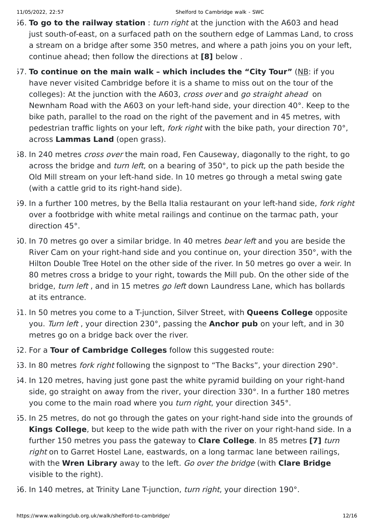- 56. **To go to the railway station** : turn right at the junction with the A603 and head just south-of-east, on a surfaced path on the southern edge of Lammas Land, to cross a stream on a bridge after some 350 metres, and where a path joins you on your left, continue ahead; then follow the directions at **[8]** below .
- 57. **To continue on the main walk which includes the "City Tour"** (NB: if you have never visited Cambridge before it is a shame to miss out on the tour of the colleges): At the junction with the A603, cross over and go straight ahead on Newnham Road with the A603 on your left-hand side, your direction 40°. Keep to the bike path, parallel to the road on the right of the pavement and in 45 metres, with pedestrian traffic lights on your left, fork right with the bike path, your direction 70°, across **Lammas Land** (open grass).
- 58. In 240 metres *cross over* the main road, Fen Causeway, diagonally to the right, to go across the bridge and *turn left*, on a bearing of 350°, to pick up the path beside the Old Mill stream on your left-hand side. In 10 metres go through a metal swing gate (with a cattle grid to its right-hand side).
- 59. In a further 100 metres, by the Bella Italia restaurant on your left-hand side, fork right over a footbridge with white metal railings and continue on the tarmac path, your direction 45°.
- 60. In 70 metres go over a similar bridge. In 40 metres *bear left* and you are beside the River Cam on your right-hand side and you continue on, your direction 350°, with the Hilton Double Tree Hotel on the other side of the river. In 50 metres go over a weir. In 80 metres cross a bridge to your right, towards the Mill pub. On the other side of the bridge, turn left, and in 15 metres go left down Laundress Lane, which has bollards at its entrance.
- 61. In 50 metres you come to a T-junction, Silver Street, with **Queens College** opposite you. Turn left , your direction 230°, passing the **Anchor pub** on your left, and in 30 metres go on a bridge back over the river.
- 62. For a **Tour of Cambridge Colleges** follow this suggested route:
- 63. In 80 metres *fork right* following the signpost to "The Backs", your direction 290°.
- 64. In 120 metres, having just gone past the white pyramid building on your right-hand side, go straight on away from the river, your direction 330°. In a further 180 metres you come to the main road where you *turn right*, your direction 345°.
- 65. In 25 metres, do not go through the gates on your right-hand side into the grounds of **Kings College**, but keep to the wide path with the river on your right-hand side. In a further 150 metres you pass the gateway to **Clare College**. In 85 metres **[7]** turn right on to Garret Hostel Lane, eastwards, on a long tarmac lane between railings, with the **Wren Library** away to the left. Go over the bridge (with **Clare Bridge** visible to the right).
- 6. In 140 metres, at Trinity Lane T-junction, turn right, your direction 190°.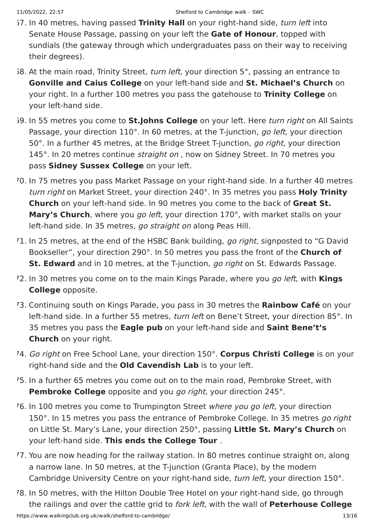- 67. In 40 metres, having passed **Trinity Hall** on your right-hand side, turn left into Senate House Passage, passing on your left the **Gate of Honour**, topped with sundials (the gateway through which undergraduates pass on their way to receiving their degrees).
- $68.$  At the main road, Trinity Street, turn left, your direction 5°, passing an entrance to **Gonville and Caius College** on your left-hand side and **St. Michael's Church** on your right. In a further 100 metres you pass the gatehouse to **Trinity College** on your left-hand side.
- 69. In 55 metres you come to **St.Johns College** on your left. Here turn right on All Saints Passage, your direction 110°. In 60 metres, at the T-junction, go left, your direction 50°. In a further 45 metres, at the Bridge Street T-junction, go right, your direction 145°. In 20 metres continue *straight on*, now on Sidney Street. In 70 metres you pass **Sidney Sussex College** on your left.
- 70. In 75 metres you pass Market Passage on your right-hand side. In a further 40 metres turn right on Market Street, your direction 240°. In 35 metres you pass **Holy Trinity Church** on your left-hand side. In 90 metres you come to the back of **Great St. Mary's Church**, where you go left, your direction 170°, with market stalls on your left-hand side. In 35 metres, go straight on along Peas Hill.
- 71. In 25 metres, at the end of the HSBC Bank building, go right, signposted to "G David Bookseller", your direction 290°. In 50 metres you pass the front of the **Church of St. Edward** and in 10 metres, at the T-junction, go right on St. Edwards Passage.
- 72. In 30 metres you come on to the main Kings Parade, where you go left, with **Kings College** opposite.
- 73. Continuing south on Kings Parade, you pass in 30 metres the **Rainbow Café** on your left-hand side. In a further 55 metres, *turn left* on Bene't Street, your direction 85°. In 35 metres you pass the **Eagle pub** on your left-hand side and **Saint Bene't's Church** on your right.
- 74. Go right on Free School Lane, your direction 150°. **Corpus Christi College** is on your right-hand side and the **Old Cavendish Lab** is to your left.
- 75. In a further 65 metres you come out on to the main road, Pembroke Street, with **Pembroke College** opposite and you *go right*, your direction 245°.
- 76. In 100 metres you come to Trumpington Street where you go left, your direction 150°. In 15 metres you pass the entrance of Pembroke College. In 35 metres go right on Little St. Mary's Lane, your direction 250°, passing **Little St. Mary's Church** on your left-hand side. **This ends the College Tour** .
- 77. You are now heading for the railway station. In 80 metres continue straight on, along a narrow lane. In 50 metres, at the T-junction (Granta Place), by the modern Cambridge University Centre on your right-hand side, turn left, your direction 150°.
- 78. In 50 metres, with the Hilton Double Tree Hotel on your right-hand side, go through the railings and over the cattle grid to fork left, with the wall of **Peterhouse College**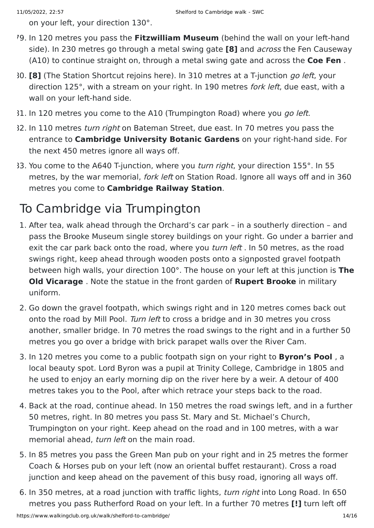on your left, your direction 130°.

- 79. In 120 metres you pass the **Fitzwilliam Museum** (behind the wall on your left-hand side). In 230 metres go through a metal swing gate **[8]** and across the Fen Causeway (A10) to continue straight on, through a metal swing gate and across the **Coe Fen** .
- 80. **[8]** (The Station Shortcut rejoins here). In 310 metres at a T-junction go left, your direction 125°, with a stream on your right. In 190 metres *fork left*, due east, with a wall on your left-hand side.
- 31. In 120 metres you come to the A10 (Trumpington Road) where you go left.
- 32. In 110 metres *turn right* on Bateman Street, due east. In 70 metres you pass the entrance to **Cambridge University Botanic Gardens** on your right-hand side. For the next 450 metres ignore all ways off.
- 83. You come to the A640 T-junction, where you turn right, your direction 155°. In 55 metres, by the war memorial, *fork left* on Station Road. Ignore all ways off and in 360 metres you come to **Cambridge Railway Station**.

## To Cambridge via Trumpington

- 1. After tea, walk ahead through the Orchard's car park in a southerly direction and pass the Brooke Museum single storey buildings on your right. Go under a barrier and exit the car park back onto the road, where you *turn left*. In 50 metres, as the road swings right, keep ahead through wooden posts onto a signposted gravel footpath between high walls, your direction 100°. The house on your left at this junction is **The Old Vicarage** . Note the statue in the front garden of **Rupert Brooke** in military uniform.
- 2. Go down the gravel footpath, which swings right and in 120 metres comes back out onto the road by Mill Pool. Turn left to cross a bridge and in 30 metres you cross another, smaller bridge. In 70 metres the road swings to the right and in a further 50 metres you go over a bridge with brick parapet walls over the River Cam.
- 3. In 120 metres you come to a public footpath sign on your right to **Byron's Pool** , a local beauty spot. Lord Byron was a pupil at Trinity College, Cambridge in 1805 and he used to enjoy an early morning dip on the river here by a weir. A detour of 400 metres takes you to the Pool, after which retrace your steps back to the road.
- 4. Back at the road, continue ahead. In 150 metres the road swings left, and in a further 50 metres, right. In 80 metres you pass St. Mary and St. Michael's Church, Trumpington on your right. Keep ahead on the road and in 100 metres, with a war memorial ahead, turn left on the main road.
- 5. In 85 metres you pass the Green Man pub on your right and in 25 metres the former Coach & Horses pub on your left (now an oriental buffet restaurant). Cross a road junction and keep ahead on the pavement of this busy road, ignoring all ways off.
- 6. In 350 metres, at a road junction with traffic lights, turn right into Long Road. In 650 metres you pass Rutherford Road on your left. In a further 70 metres **[!]** turn left off